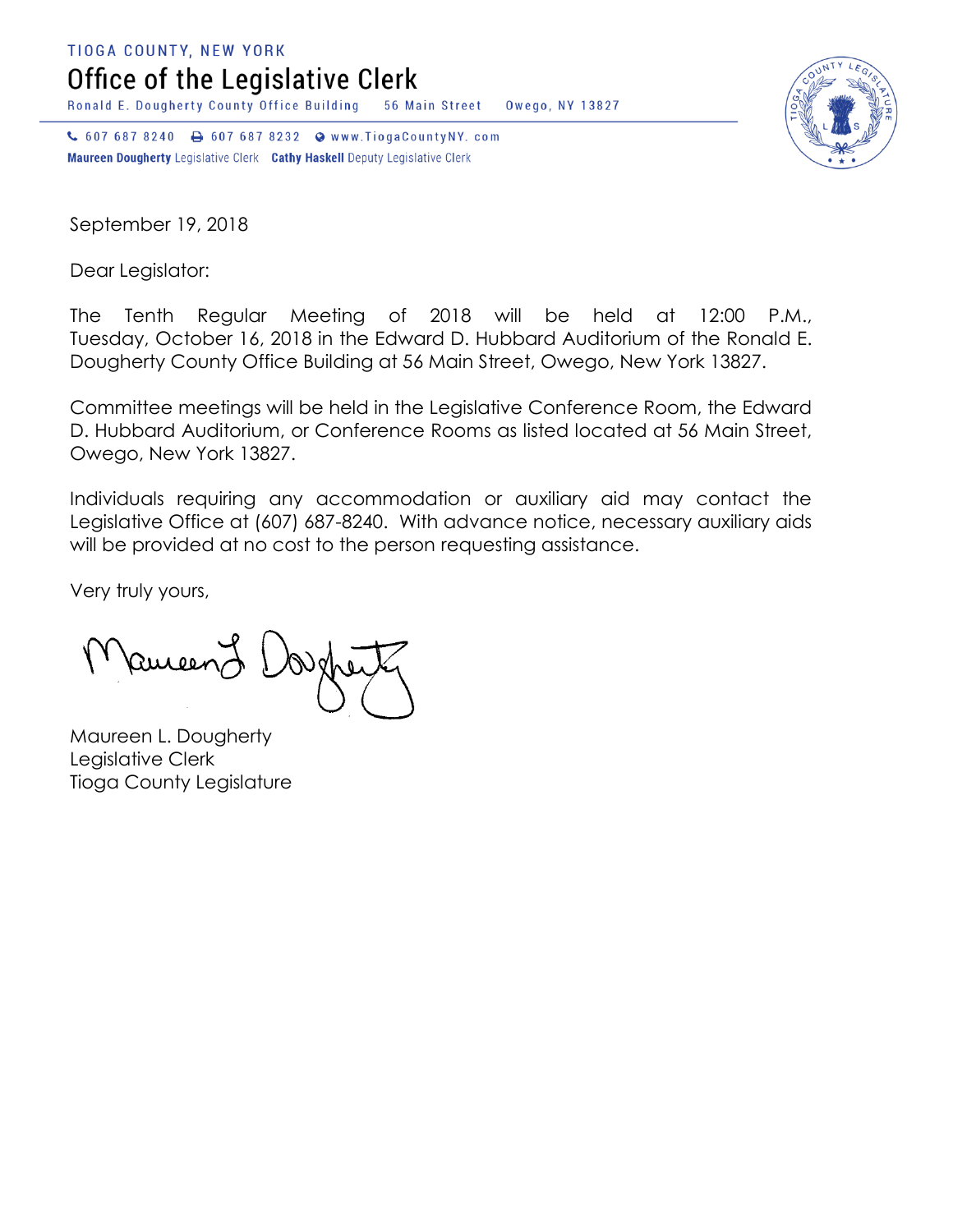**TIOGA COUNTY, NEW YORK** 

Office of the Legislative Clerk

Ronald E. Dougherty County Office Building 56 Main Street Owego, NY 13827

↓ 607 687 8240 → 607 687 8232 → www.TiogaCountyNY.com Maureen Dougherty Legislative Clerk Cathy Haskell Deputy Legislative Clerk

September 19, 2018

Dear Legislator:

The Tenth Regular Meeting of 2018 will be held at 12:00 P.M., Tuesday, October 16, 2018 in the Edward D. Hubbard Auditorium of the Ronald E. Dougherty County Office Building at 56 Main Street, Owego, New York 13827.

Committee meetings will be held in the Legislative Conference Room, the Edward D. Hubbard Auditorium, or Conference Rooms as listed located at 56 Main Street, Owego, New York 13827.

Individuals requiring any accommodation or auxiliary aid may contact the Legislative Office at (607) 687-8240. With advance notice, necessary auxiliary aids will be provided at no cost to the person requesting assistance.

Very truly yours,

Ruceen

Maureen L. Dougherty Legislative Clerk Tioga County Legislature